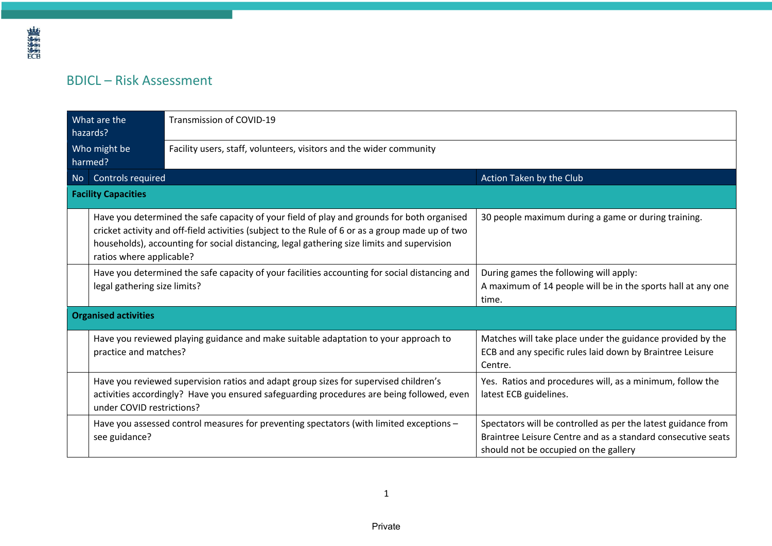## BDICL – Risk Assessment

| What are the<br>hazards?    |                                                                                                                               | Transmission of COVID-19                                                                                                                                                                                                                                                                                                                                                        |                                                                                                                                                                        |  |  |  |
|-----------------------------|-------------------------------------------------------------------------------------------------------------------------------|---------------------------------------------------------------------------------------------------------------------------------------------------------------------------------------------------------------------------------------------------------------------------------------------------------------------------------------------------------------------------------|------------------------------------------------------------------------------------------------------------------------------------------------------------------------|--|--|--|
| Who might be<br>harmed?     |                                                                                                                               | Facility users, staff, volunteers, visitors and the wider community                                                                                                                                                                                                                                                                                                             |                                                                                                                                                                        |  |  |  |
| <b>No</b>                   | Controls required                                                                                                             |                                                                                                                                                                                                                                                                                                                                                                                 | Action Taken by the Club                                                                                                                                               |  |  |  |
| <b>Facility Capacities</b>  |                                                                                                                               |                                                                                                                                                                                                                                                                                                                                                                                 |                                                                                                                                                                        |  |  |  |
|                             |                                                                                                                               | Have you determined the safe capacity of your field of play and grounds for both organised<br>30 people maximum during a game or during training.<br>cricket activity and off-field activities (subject to the Rule of 6 or as a group made up of two<br>households), accounting for social distancing, legal gathering size limits and supervision<br>ratios where applicable? |                                                                                                                                                                        |  |  |  |
|                             | Have you determined the safe capacity of your facilities accounting for social distancing and<br>legal gathering size limits? |                                                                                                                                                                                                                                                                                                                                                                                 | During games the following will apply:<br>A maximum of 14 people will be in the sports hall at any one<br>time.                                                        |  |  |  |
| <b>Organised activities</b> |                                                                                                                               |                                                                                                                                                                                                                                                                                                                                                                                 |                                                                                                                                                                        |  |  |  |
|                             | practice and matches?                                                                                                         | Have you reviewed playing guidance and make suitable adaptation to your approach to                                                                                                                                                                                                                                                                                             | Matches will take place under the guidance provided by the<br>ECB and any specific rules laid down by Braintree Leisure<br>Centre.                                     |  |  |  |
|                             | under COVID restrictions?                                                                                                     | Have you reviewed supervision ratios and adapt group sizes for supervised children's<br>activities accordingly? Have you ensured safeguarding procedures are being followed, even                                                                                                                                                                                               | Yes. Ratios and procedures will, as a minimum, follow the<br>latest ECB guidelines.                                                                                    |  |  |  |
|                             | see guidance?                                                                                                                 | Have you assessed control measures for preventing spectators (with limited exceptions -                                                                                                                                                                                                                                                                                         | Spectators will be controlled as per the latest guidance from<br>Braintree Leisure Centre and as a standard consecutive seats<br>should not be occupied on the gallery |  |  |  |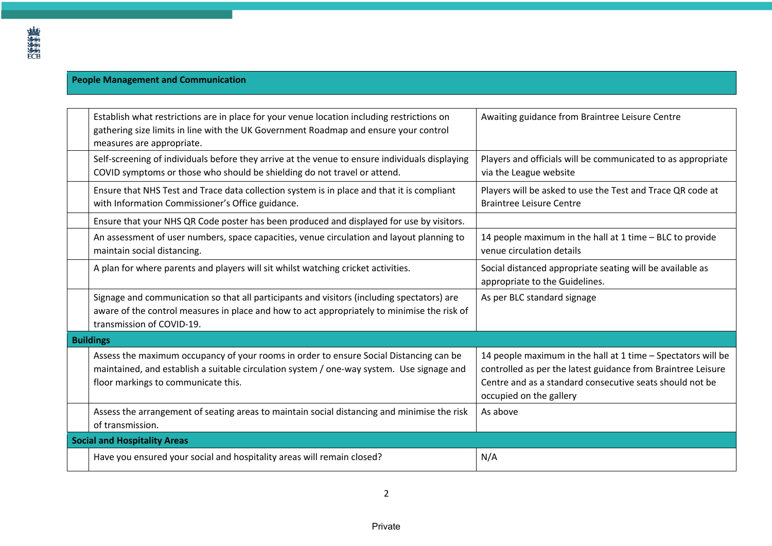## **People Management and Communication**

| Establish what restrictions are in place for your venue location including restrictions on<br>gathering size limits in line with the UK Government Roadmap and ensure your control<br>measures are appropriate.            | Awaiting guidance from Braintree Leisure Centre                                                                                                                                                                     |  |
|----------------------------------------------------------------------------------------------------------------------------------------------------------------------------------------------------------------------------|---------------------------------------------------------------------------------------------------------------------------------------------------------------------------------------------------------------------|--|
| Self-screening of individuals before they arrive at the venue to ensure individuals displaying<br>COVID symptoms or those who should be shielding do not travel or attend.                                                 | Players and officials will be communicated to as appropriate<br>via the League website                                                                                                                              |  |
| Ensure that NHS Test and Trace data collection system is in place and that it is compliant<br>with Information Commissioner's Office guidance.                                                                             | Players will be asked to use the Test and Trace QR code at<br><b>Braintree Leisure Centre</b>                                                                                                                       |  |
| Ensure that your NHS QR Code poster has been produced and displayed for use by visitors.                                                                                                                                   |                                                                                                                                                                                                                     |  |
| An assessment of user numbers, space capacities, venue circulation and layout planning to<br>maintain social distancing.                                                                                                   | 14 people maximum in the hall at 1 time - BLC to provide<br>venue circulation details                                                                                                                               |  |
| A plan for where parents and players will sit whilst watching cricket activities.                                                                                                                                          | Social distanced appropriate seating will be available as<br>appropriate to the Guidelines.                                                                                                                         |  |
| Signage and communication so that all participants and visitors (including spectators) are<br>aware of the control measures in place and how to act appropriately to minimise the risk of<br>transmission of COVID-19.     | As per BLC standard signage                                                                                                                                                                                         |  |
| <b>Buildings</b>                                                                                                                                                                                                           |                                                                                                                                                                                                                     |  |
| Assess the maximum occupancy of your rooms in order to ensure Social Distancing can be<br>maintained, and establish a suitable circulation system / one-way system. Use signage and<br>floor markings to communicate this. | 14 people maximum in the hall at 1 time - Spectators will be<br>controlled as per the latest guidance from Braintree Leisure<br>Centre and as a standard consecutive seats should not be<br>occupied on the gallery |  |
| Assess the arrangement of seating areas to maintain social distancing and minimise the risk<br>of transmission.                                                                                                            | As above                                                                                                                                                                                                            |  |
| <b>Social and Hospitality Areas</b>                                                                                                                                                                                        |                                                                                                                                                                                                                     |  |
| Have you ensured your social and hospitality areas will remain closed?                                                                                                                                                     | N/A                                                                                                                                                                                                                 |  |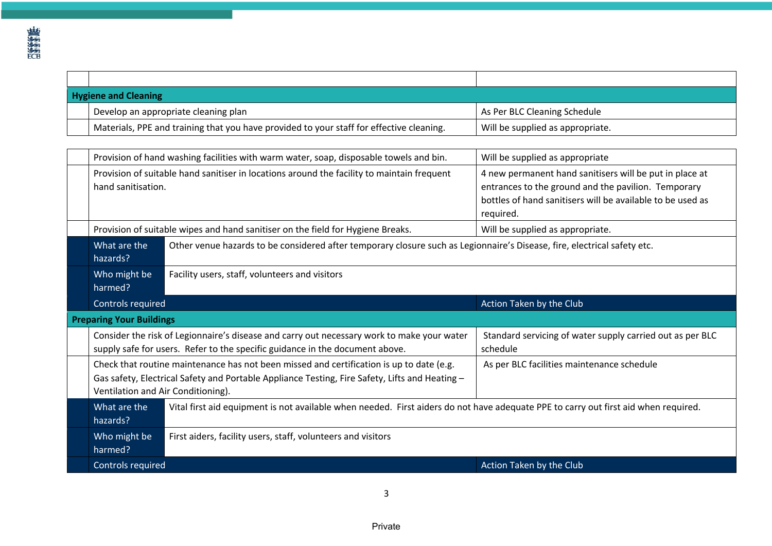| <b>Hygiene and Cleaning</b>                                                                                                                                                                                                      |                                                                                                                                     |                                                                                                                                                                                           |  |  |  |
|----------------------------------------------------------------------------------------------------------------------------------------------------------------------------------------------------------------------------------|-------------------------------------------------------------------------------------------------------------------------------------|-------------------------------------------------------------------------------------------------------------------------------------------------------------------------------------------|--|--|--|
| Develop an appropriate cleaning plan                                                                                                                                                                                             |                                                                                                                                     | As Per BLC Cleaning Schedule                                                                                                                                                              |  |  |  |
| Materials, PPE and training that you have provided to your staff for effective cleaning.                                                                                                                                         |                                                                                                                                     | Will be supplied as appropriate.                                                                                                                                                          |  |  |  |
|                                                                                                                                                                                                                                  |                                                                                                                                     |                                                                                                                                                                                           |  |  |  |
| Provision of hand washing facilities with warm water, soap, disposable towels and bin.                                                                                                                                           |                                                                                                                                     | Will be supplied as appropriate                                                                                                                                                           |  |  |  |
| Provision of suitable hand sanitiser in locations around the facility to maintain frequent<br>hand sanitisation.                                                                                                                 |                                                                                                                                     | 4 new permanent hand sanitisers will be put in place at<br>entrances to the ground and the pavilion. Temporary<br>bottles of hand sanitisers will be available to be used as<br>required. |  |  |  |
|                                                                                                                                                                                                                                  | Provision of suitable wipes and hand sanitiser on the field for Hygiene Breaks.                                                     | Will be supplied as appropriate.                                                                                                                                                          |  |  |  |
| Other venue hazards to be considered after temporary closure such as Legionnaire's Disease, fire, electrical safety etc.<br>What are the<br>hazards?                                                                             |                                                                                                                                     |                                                                                                                                                                                           |  |  |  |
| Who might be<br>Facility users, staff, volunteers and visitors<br>harmed?                                                                                                                                                        |                                                                                                                                     |                                                                                                                                                                                           |  |  |  |
| Controls required                                                                                                                                                                                                                |                                                                                                                                     | Action Taken by the Club                                                                                                                                                                  |  |  |  |
| <b>Preparing Your Buildings</b>                                                                                                                                                                                                  |                                                                                                                                     |                                                                                                                                                                                           |  |  |  |
| Consider the risk of Legionnaire's disease and carry out necessary work to make your water<br>supply safe for users. Refer to the specific guidance in the document above.                                                       |                                                                                                                                     | Standard servicing of water supply carried out as per BLC<br>schedule                                                                                                                     |  |  |  |
| Check that routine maintenance has not been missed and certification is up to date (e.g.<br>Gas safety, Electrical Safety and Portable Appliance Testing, Fire Safety, Lifts and Heating -<br>Ventilation and Air Conditioning). |                                                                                                                                     | As per BLC facilities maintenance schedule                                                                                                                                                |  |  |  |
| What are the<br>hazards?                                                                                                                                                                                                         | Vital first aid equipment is not available when needed. First aiders do not have adequate PPE to carry out first aid when required. |                                                                                                                                                                                           |  |  |  |
| Who might be<br>harmed?                                                                                                                                                                                                          | First aiders, facility users, staff, volunteers and visitors                                                                        |                                                                                                                                                                                           |  |  |  |
| Controls required                                                                                                                                                                                                                |                                                                                                                                     | Action Taken by the Club                                                                                                                                                                  |  |  |  |